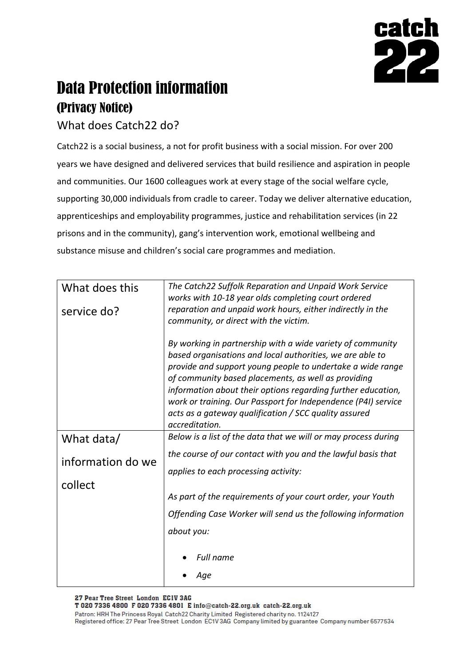

## Data Protection information (Privacy Notice)

## What does Catch22 do?

Catch22 is a social business, a not for profit business with a social mission. For over 200 years we have designed and delivered services that build resilience and aspiration in people and communities. Our 1600 colleagues work at every stage of the social welfare cycle, supporting 30,000 individuals from cradle to career. Today we deliver alternative education, apprenticeships and employability programmes, justice and rehabilitation services (in 22 prisons and in the community), gang's intervention work, emotional wellbeing and substance misuse and children's social care programmes and mediation.

| What does this    | The Catch22 Suffolk Reparation and Unpaid Work Service<br>works with 10-18 year olds completing court ordered                                                                                                                                                                                                                                                                 |
|-------------------|-------------------------------------------------------------------------------------------------------------------------------------------------------------------------------------------------------------------------------------------------------------------------------------------------------------------------------------------------------------------------------|
| service do?       | reparation and unpaid work hours, either indirectly in the<br>community, or direct with the victim.                                                                                                                                                                                                                                                                           |
|                   | By working in partnership with a wide variety of community<br>based organisations and local authorities, we are able to<br>provide and support young people to undertake a wide range<br>of community based placements, as well as providing<br>information about their options regarding further education,<br>work or training. Our Passport for Independence (P4I) service |
|                   | acts as a gateway qualification / SCC quality assured<br>accreditation.                                                                                                                                                                                                                                                                                                       |
| What data/        | Below is a list of the data that we will or may process during                                                                                                                                                                                                                                                                                                                |
| information do we | the course of our contact with you and the lawful basis that                                                                                                                                                                                                                                                                                                                  |
|                   | applies to each processing activity:                                                                                                                                                                                                                                                                                                                                          |
| collect           | As part of the requirements of your court order, your Youth                                                                                                                                                                                                                                                                                                                   |
|                   | Offending Case Worker will send us the following information                                                                                                                                                                                                                                                                                                                  |
|                   | about you:                                                                                                                                                                                                                                                                                                                                                                    |
|                   | Full name                                                                                                                                                                                                                                                                                                                                                                     |
|                   |                                                                                                                                                                                                                                                                                                                                                                               |

27 Pear Tree Street London ECIV 3AG

T 020 7336 4800 F 020 7336 4801 E info@catch-22.org.uk catch-22.org.uk

Patron: HRH The Princess Royal Catch22 Charity Limited Registered charity no. 1124127 Registered office: 27 Pear Tree Street London EC1V 3AG Company limited by guarantee Company number 6577534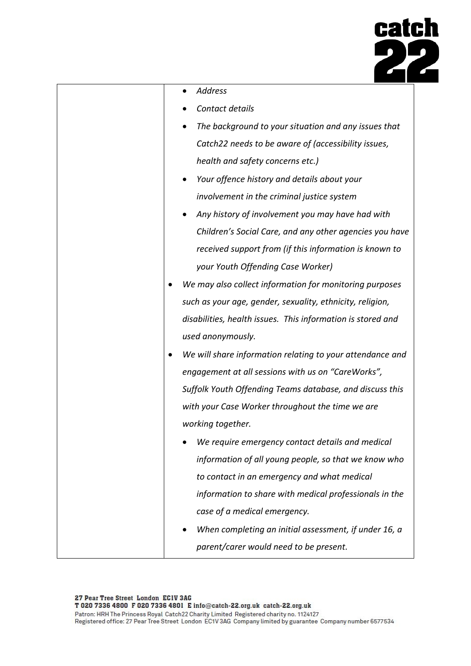

| Address                                                     |
|-------------------------------------------------------------|
| Contact details                                             |
| The background to your situation and any issues that        |
| Catch22 needs to be aware of (accessibility issues,         |
| health and safety concerns etc.)                            |
| Your offence history and details about your                 |
| involvement in the criminal justice system                  |
| Any history of involvement you may have had with            |
| Children's Social Care, and any other agencies you have     |
| received support from (if this information is known to      |
| your Youth Offending Case Worker)                           |
| We may also collect information for monitoring purposes     |
| such as your age, gender, sexuality, ethnicity, religion,   |
| disabilities, health issues. This information is stored and |
| used anonymously.                                           |
| We will share information relating to your attendance and   |
| engagement at all sessions with us on "CareWorks",          |
| Suffolk Youth Offending Teams database, and discuss this    |
| with your Case Worker throughout the time we are            |
| working together.                                           |
| We require emergency contact details and medical            |
| information of all young people, so that we know who        |
| to contact in an emergency and what medical                 |
| information to share with medical professionals in the      |
| case of a medical emergency.                                |
| When completing an initial assessment, if under 16, a       |
| parent/carer would need to be present.                      |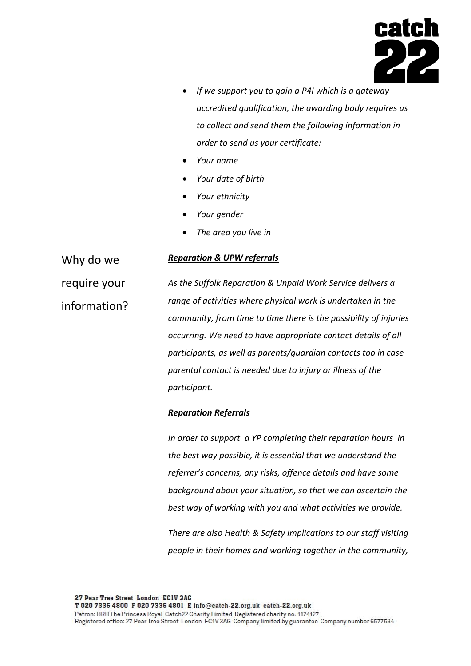

|              | If we support you to gain a P4I which is a gateway                |
|--------------|-------------------------------------------------------------------|
|              | accredited qualification, the awarding body requires us           |
|              | to collect and send them the following information in             |
|              | order to send us your certificate:                                |
|              | Your name                                                         |
|              | Your date of birth                                                |
|              | Your ethnicity                                                    |
|              | Your gender                                                       |
|              | The area you live in                                              |
|              |                                                                   |
| Why do we    | <b>Reparation &amp; UPW referrals</b>                             |
| require your | As the Suffolk Reparation & Unpaid Work Service delivers a        |
| information? | range of activities where physical work is undertaken in the      |
|              | community, from time to time there is the possibility of injuries |
|              | occurring. We need to have appropriate contact details of all     |
|              | participants, as well as parents/guardian contacts too in case    |
|              | parental contact is needed due to injury or illness of the        |
|              | participant.                                                      |
|              | <b>Reparation Referrals</b>                                       |
|              | In order to support a YP completing their reparation hours in     |
|              | the best way possible, it is essential that we understand the     |
|              | referrer's concerns, any risks, offence details and have some     |
|              | background about your situation, so that we can ascertain the     |
|              | best way of working with you and what activities we provide.      |
|              | There are also Health & Safety implications to our staff visiting |
|              | people in their homes and working together in the community,      |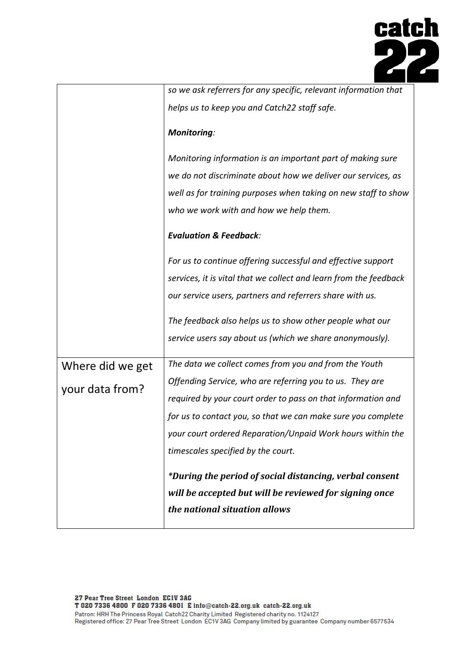

|                  | so we ask referrers for any specific, relevant information that   |
|------------------|-------------------------------------------------------------------|
|                  | helps us to keep you and Catch22 staff safe.                      |
|                  | <b>Monitoring:</b>                                                |
|                  | Monitoring information is an important part of making sure        |
|                  | we do not discriminate about how we deliver our services, as      |
|                  | well as for training purposes when taking on new staff to show    |
|                  | who we work with and how we help them.                            |
|                  | <b>Evaluation &amp; Feedback:</b>                                 |
|                  | For us to continue offering successful and effective support      |
|                  | services, it is vital that we collect and learn from the feedback |
|                  | our service users, partners and referrers share with us.          |
|                  | The feedback also helps us to show other people what our          |
|                  | service users say about us (which we share anonymously).          |
| Where did we get | The data we collect comes from you and from the Youth             |
| your data from?  | Offending Service, who are referring you to us. They are          |
|                  | required by your court order to pass on that information and      |
|                  | for us to contact you, so that we can make sure you complete      |
|                  | your court ordered Reparation/Unpaid Work hours within the        |
|                  | timescales specified by the court.                                |
|                  | *During the period of social distancing, verbal consent           |
|                  | will be accepted but will be reviewed for signing once            |
|                  | the national situation allows                                     |
|                  |                                                                   |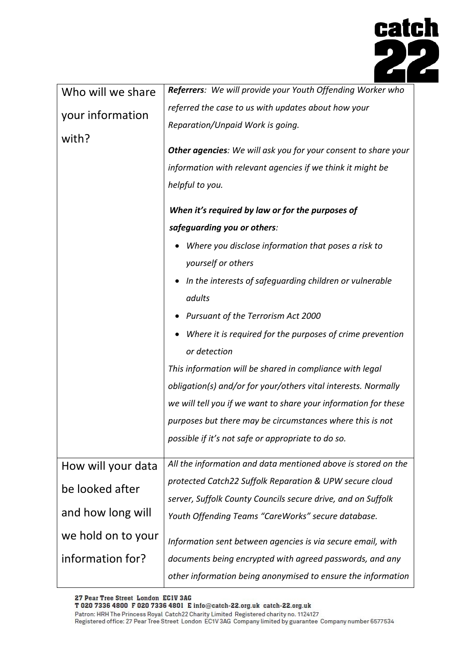

| Who will we share  | Referrers: We will provide your Youth Offending Worker who      |
|--------------------|-----------------------------------------------------------------|
| your information   | referred the case to us with updates about how your             |
|                    | Reparation/Unpaid Work is going.                                |
| with?              | Other agencies: We will ask you for your consent to share your  |
|                    | information with relevant agencies if we think it might be      |
|                    | helpful to you.                                                 |
|                    |                                                                 |
|                    | When it's required by law or for the purposes of                |
|                    | safeguarding you or others:                                     |
|                    | Where you disclose information that poses a risk to             |
|                    | yourself or others                                              |
|                    | In the interests of safeguarding children or vulnerable         |
|                    | adults                                                          |
|                    | • Pursuant of the Terrorism Act 2000                            |
|                    | Where it is required for the purposes of crime prevention       |
|                    | or detection                                                    |
|                    | This information will be shared in compliance with legal        |
|                    | obligation(s) and/or for your/others vital interests. Normally  |
|                    | we will tell you if we want to share your information for these |
|                    | purposes but there may be circumstances where this is not       |
|                    | possible if it's not safe or appropriate to do so.              |
| How will your data | All the information and data mentioned above is stored on the   |
| be looked after    | protected Catch22 Suffolk Reparation & UPW secure cloud         |
|                    | server, Suffolk County Councils secure drive, and on Suffolk    |
| and how long will  | Youth Offending Teams "CareWorks" secure database.              |
| we hold on to your | Information sent between agencies is via secure email, with     |
| information for?   | documents being encrypted with agreed passwords, and any        |
|                    | other information being anonymised to ensure the information    |

27 Pear Tree Street London ECIV 3AG<br>T 020 7336 4800 F 020 7336 4801 E info@catch-22.org.uk catch-22.org.uk

Patron: HRH The Princess Royal Catch22 Charity Limited Registered charity no. 1124127 Registered office: 27 Pear Tree Street London EC1V 3AG Company limited by guarantee Company number 6577534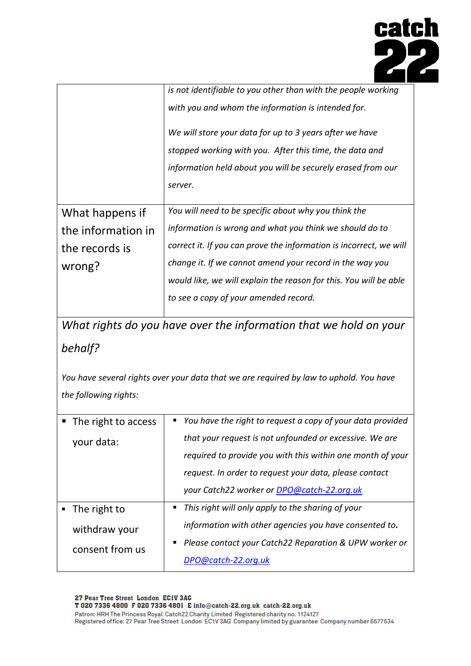

|                    | is not identifiable to you other than with the people working      |
|--------------------|--------------------------------------------------------------------|
|                    | with you and whom the information is intended for.                 |
|                    | We will store your data for up to 3 years after we have            |
|                    | stopped working with you. After this time, the data and            |
|                    | information held about you will be securely erased from our        |
|                    | server.                                                            |
|                    |                                                                    |
| What happens if    | You will need to be specific about why you think the               |
| the information in | information is wrong and what you think we should do to            |
| the records is     | correct it. If you can prove the information is incorrect, we will |
| wrong?             | change it. If we cannot amend your record in the way you           |
|                    | would like, we will explain the reason for this. You will be able  |
|                    | to see a copy of your amended record.                              |

*What rights do you have over the information that we hold on your behalf?*

*You have several rights over your data that we are required by law to uphold. You have the following rights:*

|  | ■ The right to access       |                | • You have the right to request a copy of your data provided |
|--|-----------------------------|----------------|--------------------------------------------------------------|
|  | your data:                  |                | that your request is not unfounded or excessive. We are      |
|  |                             |                | required to provide you with this within one month of your   |
|  |                             |                | request. In order to request your data, please contact       |
|  |                             |                | your Catch22 worker or <b>DPO@catch-22.org.uk</b>            |
|  | $\blacksquare$ The right to | $\blacksquare$ | This right will only apply to the sharing of your            |
|  | withdraw your               |                | information with other agencies you have consented to.       |
|  | consent from us             |                | ■ Please contact your Catch22 Reparation & UPW worker or     |
|  |                             |                | DPO@catch-22.org.uk                                          |
|  |                             |                |                                                              |